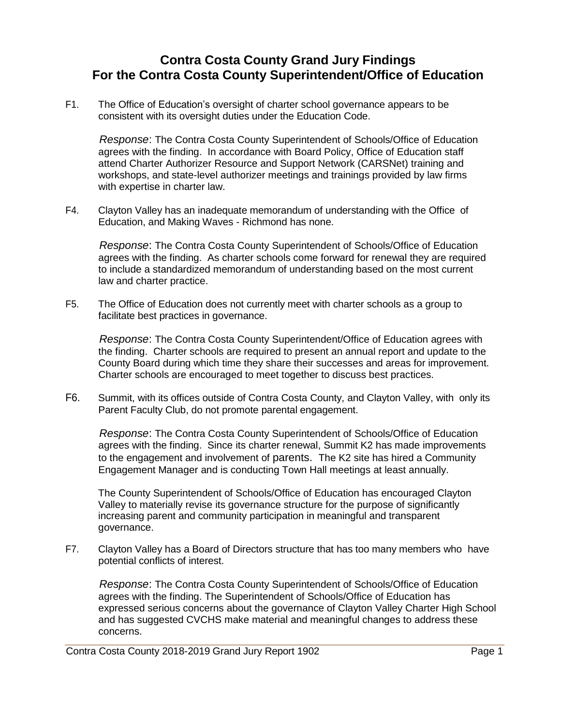## **Contra Costa County Grand Jury Findings For the Contra Costa County Superintendent/Office of Education**

F1. The Office of Education's oversight of charter school governance appears to be consistent with its oversight duties under the Education Code.

*Response*: The Contra Costa County Superintendent of Schools/Office of Education agrees with the finding. In accordance with Board Policy, Office of Education staff attend Charter Authorizer Resource and Support Network (CARSNet) training and workshops, and state-level authorizer meetings and trainings provided by law firms with expertise in charter law.

F4. Clayton Valley has an inadequate memorandum of understanding with the Office of Education, and Making Waves - Richmond has none.

*Response*: The Contra Costa County Superintendent of Schools/Office of Education agrees with the finding. As charter schools come forward for renewal they are required to include a standardized memorandum of understanding based on the most current law and charter practice.

F5. The Office of Education does not currently meet with charter schools as a group to facilitate best practices in governance.

*Response*: The Contra Costa County Superintendent/Office of Education agrees with the finding. Charter schools are required to present an annual report and update to the County Board during which time they share their successes and areas for improvement. Charter schools are encouraged to meet together to discuss best practices.

F6. Summit, with its offices outside of Contra Costa County, and Clayton Valley, with only its Parent Faculty Club, do not promote parental engagement.

*Response*: The Contra Costa County Superintendent of Schools/Office of Education agrees with the finding. Since its charter renewal, Summit K2 has made improvements to the engagement and involvement of parents. The K2 site has hired a Community Engagement Manager and is conducting Town Hall meetings at least annually.

The County Superintendent of Schools/Office of Education has encouraged Clayton Valley to materially revise its governance structure for the purpose of significantly increasing parent and community participation in meaningful and transparent governance.

F7. Clayton Valley has a Board of Directors structure that has too many members who have potential conflicts of interest.

*Response*: The Contra Costa County Superintendent of Schools/Office of Education agrees with the finding. The Superintendent of Schools/Office of Education has expressed serious concerns about the governance of Clayton Valley Charter High School and has suggested CVCHS make material and meaningful changes to address these concerns.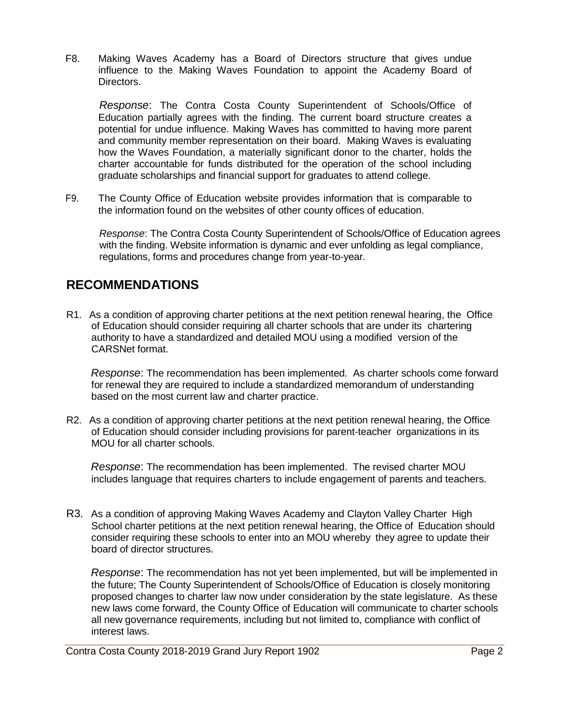F8. Making Waves Academy has a Board of Directors structure that gives undue influence to the Making Waves Foundation to appoint the Academy Board of Directors.

*Response*: The Contra Costa County Superintendent of Schools/Office of Education partially agrees with the finding. The current board structure creates a potential for undue influence. Making Waves has committed to having more parent and community member representation on their board. Making Waves is evaluating how the Waves Foundation, a materially significant donor to the charter, holds the charter accountable for funds distributed for the operation of the school including graduate scholarships and financial support for graduates to attend college.

F9. The County Office of Education website provides information that is comparable to the information found on the websites of other county offices of education.

*Response*: The Contra Costa County Superintendent of Schools/Office of Education agrees with the finding. Website information is dynamic and ever unfolding as legal compliance, regulations, forms and procedures change from year-to-year.

## **RECOMMENDATIONS**

R1. As a condition of approving charter petitions at the next petition renewal hearing, the Office of Education should consider requiring all charter schools that are under its chartering authority to have a standardized and detailed MOU using a modified version of the CARSNet format.

*Response*: The recommendation has been implemented. As charter schools come forward for renewal they are required to include a standardized memorandum of understanding based on the most current law and charter practice.

R2. As a condition of approving charter petitions at the next petition renewal hearing, the Office of Education should consider including provisions for parent-teacher organizations in its MOU for all charter schools.

*Response*: The recommendation has been implemented. The revised charter MOU includes language that requires charters to include engagement of parents and teachers.

R3. As a condition of approving Making Waves Academy and Clayton Valley Charter High School charter petitions at the next petition renewal hearing, the Office of Education should consider requiring these schools to enter into an MOU whereby they agree to update their board of director structures.

*Response*: The recommendation has not yet been implemented, but will be implemented in the future; The County Superintendent of Schools/Office of Education is closely monitoring proposed changes to charter law now under consideration by the state legislature. As these new laws come forward, the County Office of Education will communicate to charter schools all new governance requirements, including but not limited to, compliance with conflict of interest laws.